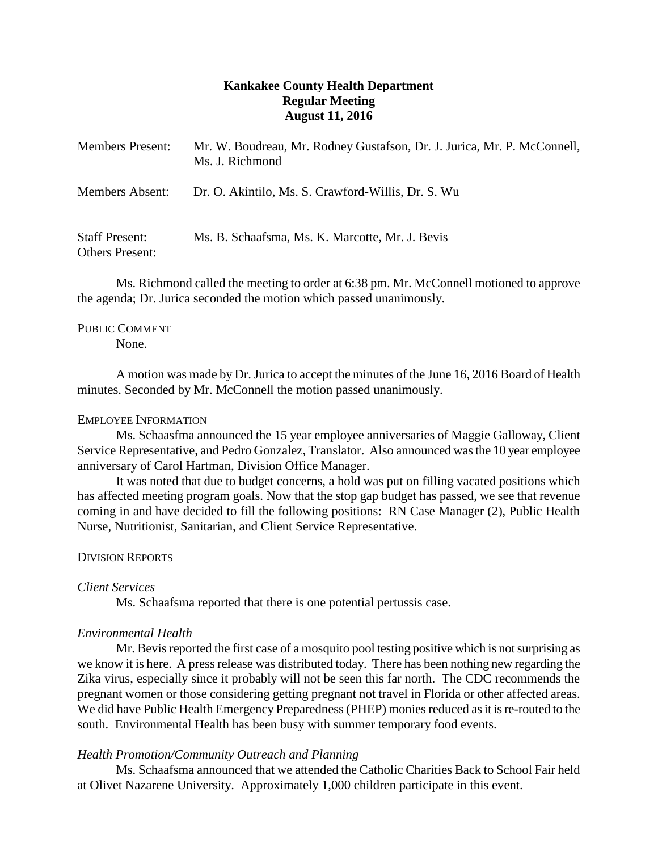# **Kankakee County Health Department Regular Meeting August 11, 2016**

| <b>Members Present:</b>                         | Mr. W. Boudreau, Mr. Rodney Gustafson, Dr. J. Jurica, Mr. P. McConnell,<br>Ms. J. Richmond |
|-------------------------------------------------|--------------------------------------------------------------------------------------------|
| Members Absent:                                 | Dr. O. Akintilo, Ms. S. Crawford-Willis, Dr. S. Wu                                         |
| <b>Staff Present:</b><br><b>Others Present:</b> | Ms. B. Schaafsma, Ms. K. Marcotte, Mr. J. Bevis                                            |

Ms. Richmond called the meeting to order at 6:38 pm. Mr. McConnell motioned to approve the agenda; Dr. Jurica seconded the motion which passed unanimously.

# PUBLIC COMMENT

None.

A motion was made by Dr. Jurica to accept the minutes of the June 16, 2016 Board of Health minutes. Seconded by Mr. McConnell the motion passed unanimously.

### EMPLOYEE INFORMATION

Ms. Schaasfma announced the 15 year employee anniversaries of Maggie Galloway, Client Service Representative, and Pedro Gonzalez, Translator. Also announced was the 10 year employee anniversary of Carol Hartman, Division Office Manager.

It was noted that due to budget concerns, a hold was put on filling vacated positions which has affected meeting program goals. Now that the stop gap budget has passed, we see that revenue coming in and have decided to fill the following positions: RN Case Manager (2), Public Health Nurse, Nutritionist, Sanitarian, and Client Service Representative.

## DIVISION REPORTS

### *Client Services*

Ms. Schaafsma reported that there is one potential pertussis case.

## *Environmental Health*

Mr. Bevis reported the first case of a mosquito pool testing positive which is not surprising as we know it is here. A press release was distributed today. There has been nothing new regarding the Zika virus, especially since it probably will not be seen this far north. The CDC recommends the pregnant women or those considering getting pregnant not travel in Florida or other affected areas. We did have Public Health Emergency Preparedness (PHEP) monies reduced as it is re-routed to the south. Environmental Health has been busy with summer temporary food events.

### *Health Promotion/Community Outreach and Planning*

Ms. Schaafsma announced that we attended the Catholic Charities Back to School Fair held at Olivet Nazarene University. Approximately 1,000 children participate in this event.